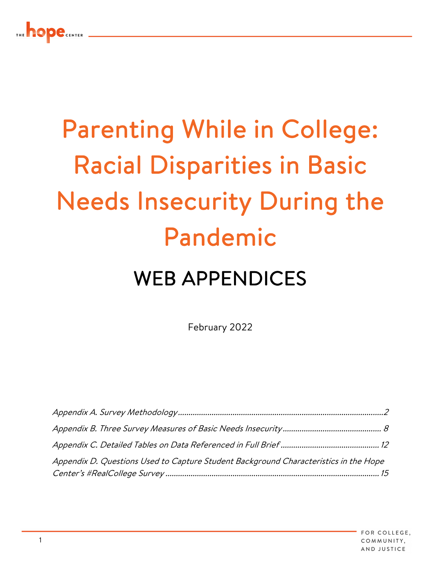# Parenting While in College: Racial Disparities in Basic Needs Insecurity During the Pandemic

# WEB APPENDICES

February <sup>2022</sup>

| Appendix D. Questions Used to Capture Student Background Characteristics in the Hope |  |
|--------------------------------------------------------------------------------------|--|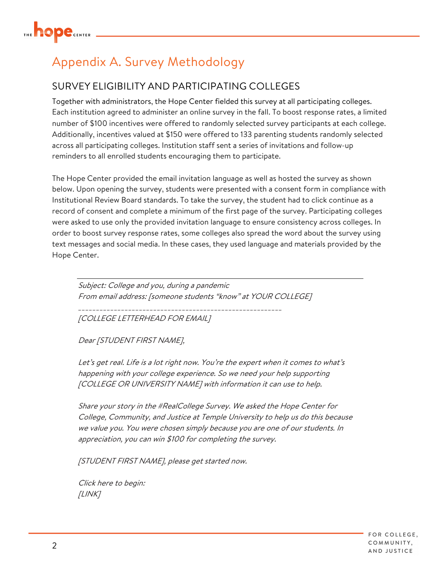

### Appendix A. Survey Methodology

#### SURVEY ELIGIBILITY AND PARTICIPATING COLLEGES

Together with administrators, the Hope Center fielded this survey at all participating colleges. Each institution agreed to administer an online survey in the fall. To boost response rates, a limited number of \$100 incentives were offered to randomly selected survey participants at each college. Additionally, incentives valued at \$150 were offered to 133 parenting students randomly selected across all participating colleges. Institution staff sent a series of invitations and follow-up reminders to all enrolled students encouraging them to participate.

The Hope Center provided the email invitation language as well as hosted the survey as shown below. Upon opening the survey, students were presented with a consent form in compliance with Institutional Review Board standards. To take the survey, the student had to click continue as a record of consent and complete a minimum of the first page of the survey. Participating colleges were asked to use only the provided invitation language to ensure consistency across colleges. In order to boost survey response rates, some colleges also spread the word about the survey using text messages and social media. In these cases, they used language and materials provided by the Hope Center.

Subject: College and you, during a pandemic From email address: [someone students "know" at YOUR COLLEGE]

\_\_\_\_\_\_\_\_\_\_\_\_\_\_\_\_\_\_\_\_\_\_\_\_\_\_\_\_\_\_\_\_\_\_\_\_\_\_\_\_\_\_\_\_\_\_\_\_\_\_\_\_\_\_\_\_\_ [COLLEGE LETTERHEAD FOR EMAIL]

Dear [STUDENT FIRST NAME],

Let's get real. Life is a lot right now. You're the expert when it comes to what's happening with your college experience. So we need your help supporting [COLLEGE OR UNIVERSITY NAME] with information it can use to help.

Share your story in the #RealCollege Survey. We asked the Hope Center for College, Community, and Justice at Temple University to help us do this because we value you. You were chosen simply because you are one of our students. In appreciation, you can win \$100 for completing the survey.

[STUDENT FIRST NAME], please get started now.

Click here to begin: [LINK]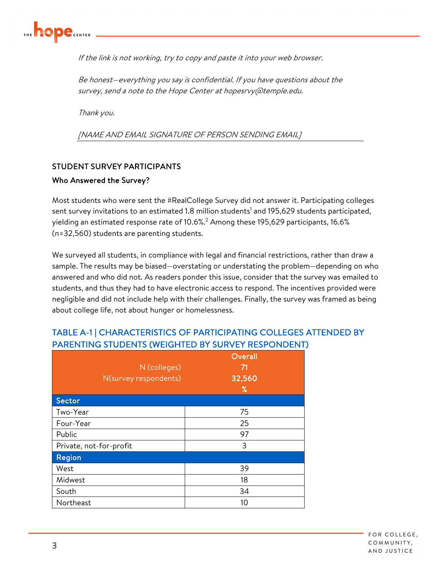

If the link is not working, try to copy and paste it into your web browser.

Be honest—everything you say is confidential. If you have questions about the survey, send a note to the Hope Center at hopesrvy@temple.edu.

Thank you.

[NAME AND EMAIL SIGNATURE OF PERSON SENDING EMAIL]

#### STUDENT SURVEY PARTICIPANTS

#### Who Answered the Survey?

Most students who were sent the #RealCollege Survey did not answer it. Participating colleges sent survey invitations to an estimated 1.8 million students<sup>1</sup> and 195,629 students participated, yielding an estimated response rate of 10.6%.<sup>2</sup> Among these 195,629 participants, 16.6% (n=32,560) students are parenting students.

We surveyed all students, in compliance with legal and financial restrictions, rather than draw a sample. The results may be biased—overstating or understating the problem—depending on who answered and who did not. As readers ponder this issue, consider that the survey was emailed to students, and thus they had to have electronic access to respond. The incentives provided were negligible and did not include help with their challenges. Finally, the survey was framed as being about college life, not about hunger or homelessness.

#### TABLE A-1 | CHARACTERISTICS OF PARTICIPATING COLLEGES ATTENDED BY PARENTING STUDENTS (WEIGHTED BY SURVEY RESPONDENT)

| N (colleges)<br>N(survey respondents) | Overall<br>71<br>32,560<br>℅ |
|---------------------------------------|------------------------------|
| Sector                                |                              |
| Two-Year                              | 75                           |
| Four-Year                             | 25                           |
| Public                                | 97                           |
| Private, not-for-profit               | 3                            |
| <b>Region</b>                         |                              |
| West                                  | 39                           |
| Midwest                               | 18                           |
| South                                 | 34                           |
| Northeast                             | 10                           |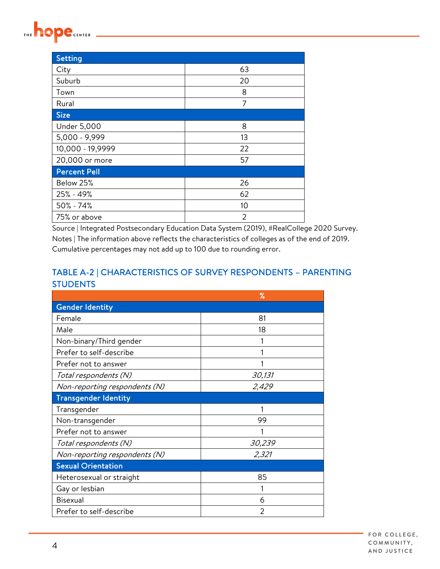# THE **hope** CENTER

| Setting             |                |
|---------------------|----------------|
| City                | 63             |
| Suburb              | 20             |
| Town                | 8              |
| Rural               | 7              |
| Size                |                |
| <b>Under 5,000</b>  | 8              |
| 5,000 - 9,999       | 13             |
| 10,000 - 19,9999    | 22             |
| 20,000 or more      | 57             |
| <b>Percent Pell</b> |                |
| Below 25%           | 26             |
| 25% - 49%           | 62             |
| $50\% - 74\%$       | 10             |
| 75% or above        | $\overline{2}$ |

Source | Integrated Postsecondary Education Data System (2019), #RealCollege 2020 Survey. Notes | The information above reflects the characteristics of colleges as of the end of 2019. Cumulative percentages may not add up to 100 due to rounding error.

#### TABLE A-2 | CHARACTERISTICS OF SURVEY RESPONDENTS – PARENTING **STUDENTS**

|                               | $\%$   |
|-------------------------------|--------|
| <b>Gender Identity</b>        |        |
| Female                        | 81     |
| Male                          | 18     |
| Non-binary/Third gender       |        |
| Prefer to self-describe       |        |
| Prefer not to answer          |        |
| Total respondents (N)         | 30,131 |
| Non-reporting respondents (N) | 2,429  |
| <b>Transgender Identity</b>   |        |
| Transgender                   |        |
| Non-transgender               | 99     |
| Prefer not to answer          |        |
| Total respondents (N)         | 30,239 |
| Non-reporting respondents (N) | 2,321  |
| <b>Sexual Orientation</b>     |        |
| Heterosexual or straight      | 85     |
| Gay or lesbian                |        |
| Bisexual                      | 6      |
| Prefer to self-describe       | 2      |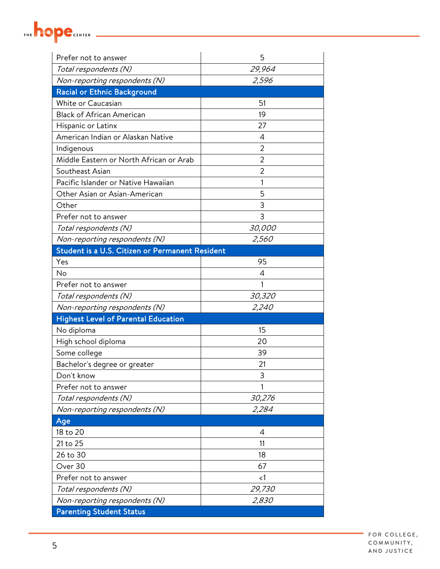

| Prefer not to answer                            | 5              |
|-------------------------------------------------|----------------|
| Total respondents (N)                           | 29,964         |
| Non-reporting respondents (N)                   | 2,596          |
| <b>Racial or Ethnic Background</b>              |                |
| White or Caucasian                              | 51             |
| <b>Black of African American</b>                | 19             |
| Hispanic or Latinx                              | 27             |
| American Indian or Alaskan Native               | $\overline{4}$ |
| Indigenous                                      | $\overline{2}$ |
| Middle Eastern or North African or Arab         | $\overline{2}$ |
| Southeast Asian                                 | $\overline{2}$ |
| Pacific Islander or Native Hawaiian             | 1              |
| Other Asian or Asian-American                   | 5              |
| Other                                           | 3              |
| Prefer not to answer                            | 3              |
| Total respondents (N)                           | 30,000         |
| Non-reporting respondents (N)                   | 2,560          |
| Student is a U.S. Citizen or Permanent Resident |                |
| Yes                                             | 95             |
| No                                              | $\overline{4}$ |
| Prefer not to answer                            | 1              |
| Total respondents (N)                           | 30,320         |
| Non-reporting respondents (N)                   | 2,240          |
| <b>Highest Level of Parental Education</b>      |                |
| No diploma                                      | 15             |
| High school diploma                             | 20             |
| Some college                                    | 39             |
| Bachelor's degree or greater                    | 21             |
| Don't know                                      | 3              |
| Prefer not to answer                            | 1              |
| Total respondents (N)                           | 30,276         |
| Non-reporting respondents (N)                   | 2,284          |
| Age                                             |                |
| 18 to 20                                        | 4              |
| 21 to 25                                        | 11             |
| 26 to 30                                        | 18             |
| Over 30                                         | 67             |
| Prefer not to answer                            | $\leq$ 1       |
| Total respondents (N)                           | 29,730         |
| Non-reporting respondents (N)                   | 2,830          |
| <b>Parenting Student Status</b>                 |                |

FOR COLLEGE, COMMUNITY, AND JUSTICE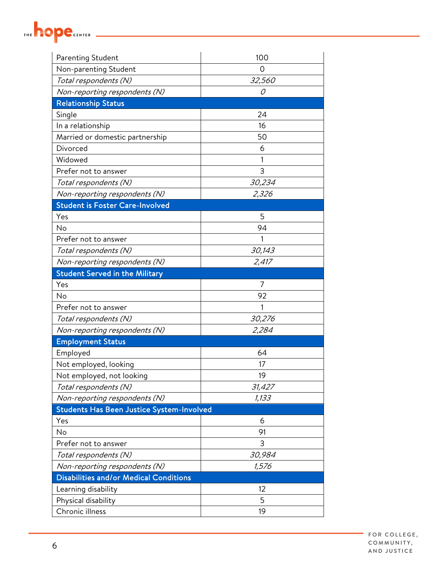| Parenting Student                                | 100    |  |  |
|--------------------------------------------------|--------|--|--|
| Non-parenting Student                            | 0      |  |  |
| Total respondents (N)                            | 32,560 |  |  |
| Non-reporting respondents (N)                    | 0      |  |  |
| <b>Relationship Status</b>                       |        |  |  |
| Single                                           | 24     |  |  |
| In a relationship                                | 16     |  |  |
| Married or domestic partnership                  | 50     |  |  |
| Divorced                                         | 6      |  |  |
| Widowed                                          |        |  |  |
| Prefer not to answer                             | 3      |  |  |
| Total respondents (N)                            | 30,234 |  |  |
| Non-reporting respondents (N)                    | 2,326  |  |  |
| <b>Student is Foster Care-Involved</b>           |        |  |  |
| Yes                                              | 5      |  |  |
| No                                               | 94     |  |  |
| Prefer not to answer                             | 1      |  |  |
| Total respondents (N)                            | 30,143 |  |  |
| Non-reporting respondents (N)                    | 2,417  |  |  |
| <b>Student Served in the Military</b>            |        |  |  |
| Yes                                              | 7      |  |  |
| No                                               | 92     |  |  |
| Prefer not to answer                             | 1      |  |  |
| Total respondents (N)                            | 30,276 |  |  |
| Non-reporting respondents (N)                    | 2,284  |  |  |
| <b>Employment Status</b>                         |        |  |  |
| Employed                                         | 64     |  |  |
| Not employed, looking                            | 17     |  |  |
| Not employed, not looking                        | 19     |  |  |
| Total respondents (N)                            | 31,427 |  |  |
| Non-reporting respondents (N)                    | 1,133  |  |  |
| <b>Students Has Been Justice System-Involved</b> |        |  |  |
| Yes                                              | 6      |  |  |
| No                                               | 91     |  |  |
| Prefer not to answer                             | 3      |  |  |
| Total respondents (N)                            | 30,984 |  |  |
| Non-reporting respondents (N)                    | 1,576  |  |  |
| <b>Disabilities and/or Medical Conditions</b>    |        |  |  |
| Learning disability                              | 12     |  |  |
| Physical disability                              | 5      |  |  |
| Chronic illness                                  | 19     |  |  |

THE **hope** CENTER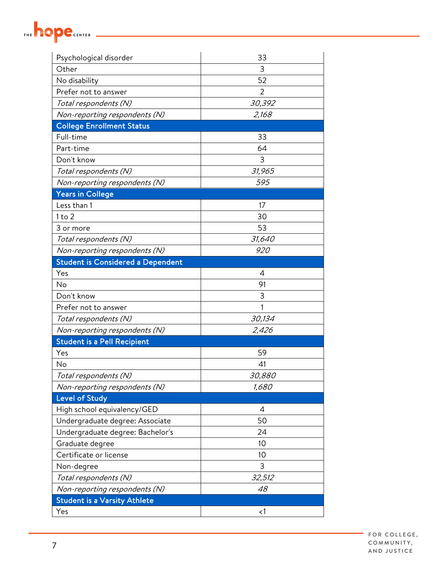

| Psychological disorder                   | 33       |  |
|------------------------------------------|----------|--|
| Other                                    | 3        |  |
| No disability                            | 52       |  |
| Prefer not to answer                     | 2        |  |
| Total respondents (N)                    | 30,392   |  |
| Non-reporting respondents (N)            | 2,168    |  |
| <b>College Enrollment Status</b>         |          |  |
| Full-time                                | 33       |  |
| Part-time                                | 64       |  |
| Don't know                               | 3        |  |
| Total respondents (N)                    | 31,965   |  |
| Non-reporting respondents (N)            | 595      |  |
| <b>Years in College</b>                  |          |  |
| Less than 1                              | 17       |  |
| 1 to 2                                   | 30       |  |
| 3 or more                                | 53       |  |
| Total respondents (N)                    | 31,640   |  |
| Non-reporting respondents (N)            | 920      |  |
| <b>Student is Considered a Dependent</b> |          |  |
| Yes                                      | 4        |  |
| No                                       | 91       |  |
| Don't know                               | 3        |  |
| Prefer not to answer                     | 1        |  |
| Total respondents (N)                    | 30,134   |  |
| Non-reporting respondents (N)            | 2,426    |  |
| <b>Student is a Pell Recipient</b>       |          |  |
| Yes                                      | 59       |  |
| No                                       | 41       |  |
| Total respondents (N)                    | 30,880   |  |
| Non-reporting respondents (N)            | 1,680    |  |
| <b>Level of Study</b>                    |          |  |
| High school equivalency/GED              | 4        |  |
| Undergraduate degree: Associate          | 50       |  |
| Undergraduate degree: Bachelor's         | 24       |  |
| Graduate degree                          | 10       |  |
| Certificate or license                   | 10       |  |
| Non-degree                               | 3        |  |
| Total respondents (N)                    | 32,512   |  |
| Non-reporting respondents (N)            | 48       |  |
| <b>Student is a Varsity Athlete</b>      |          |  |
| Yes                                      | $\leq$ 1 |  |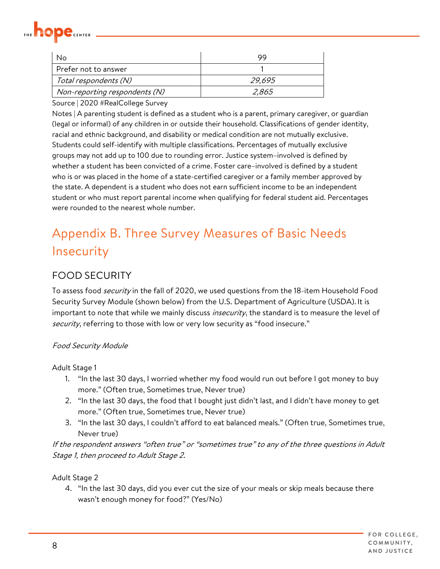

| No                            |        |
|-------------------------------|--------|
| Prefer not to answer          |        |
| Total respondents (N)         | 29,695 |
| Non-reporting respondents (N) | 2,865  |

Source | 2020 #RealCollege Survey

Notes | A parenting student is defined as a student who is a parent, primary caregiver, or quardian (legal or informal) of any children in or outside their household. Classifications of gender identity, racial and ethnic background, and disability or medical condition are not mutually exclusive. Students could self-identify with multiple classifications. Percentages of mutually exclusive groups may not add up to 100 due to rounding error. Justice system–involved is defined by whether a student has been convicted of a crime. Foster care–involved is defined by a student who is or was placed in the home of a state-certified caregiver or a family member approved by the state. A dependent is a student who does not earn sufficient income to be an independent student or who must report parental income when qualifying for federal student aid. Percentages were rounded to the nearest whole number.

### Appendix B. Three Survey Measures of Basic Needs Insecurity

#### FOOD SECURITY

To assess food *security* in the fall of 2020, we used questions from the 18-item Household Food Security Survey Module (shown below) from the U.S. Department of Agriculture (USDA). It is important to note that while we mainly discuss *insecurity*, the standard is to measure the level of security, referring to those with low or very low security as "food insecure."

#### Food Security Module

Adult Stage 1

- 1. "In the last 30 days, I worried whether my food would run out before I got money to buy more." (Often true, Sometimes true, Never true)
- 2. "In the last 30 days, the food that I bought just didn't last, and I didn't have money to get more." (Often true, Sometimes true, Never true)
- 3. "In the last 30 days, I couldn't afford to eat balanced meals." (Often true, Sometimes true, Never true)

If the respondent answers "often true" or "sometimes true" to any of the three questions in Adult Stage 1, then proceed to Adult Stage 2.

#### Adult Stage 2

4. "In the last 30 days, did you ever cut the size of your meals or skip meals because there wasn't enough money for food?" (Yes/No)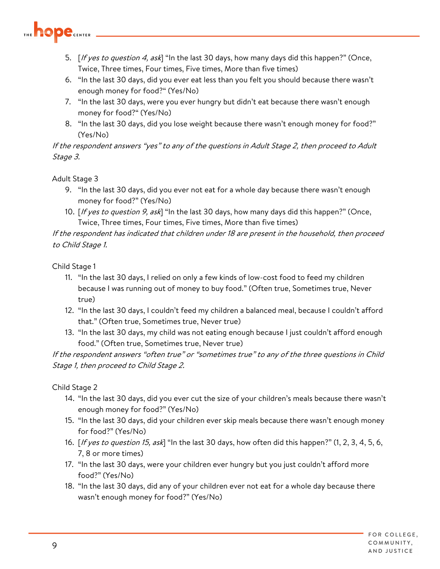

- 5. [If yes to question 4, ask] "In the last 30 days, how many days did this happen?" (Once, Twice, Three times, Four times, Five times, More than five times)
- 6. "In the last 30 days, did you ever eat less than you felt you should because there wasn't enough money for food?" (Yes/No)
- 7. "In the last 30 days, were you ever hungry but didn't eat because there wasn't enough money for food?" (Yes/No)
- 8. "In the last 30 days, did you lose weight because there wasn't enough money for food?" (Yes/No)

If the respondent answers "yes" to any of the questions in Adult Stage 2, then proceed to Adult Stage 3.

#### Adult Stage 3

- 9. "In the last 30 days, did you ever not eat for a whole day because there wasn't enough money for food?" (Yes/No)
- 10. [If yes to question 9, ask] "In the last 30 days, how many days did this happen?" (Once, Twice, Three times, Four times, Five times, More than five times)

If the respondent has indicated that children under 18 are present in the household, then proceed to Child Stage 1.

Child Stage 1

- 11. "In the last 30 days, I relied on only a few kinds of low-cost food to feed my children because I was running out of money to buy food." (Often true, Sometimes true, Never true)
- 12. "In the last 30 days, I couldn't feed my children a balanced meal, because I couldn't afford that." (Often true, Sometimes true, Never true)
- 13. "In the last 30 days, my child was not eating enough because I just couldn't afford enough food." (Often true, Sometimes true, Never true)

If the respondent answers "often true" or "sometimes true" to any of the three questions in Child Stage 1, then proceed to Child Stage 2.

Child Stage 2

- 14. "In the last 30 days, did you ever cut the size of your children's meals because there wasn't enough money for food?" (Yes/No)
- 15. "In the last 30 days, did your children ever skip meals because there wasn't enough money for food?" (Yes/No)
- 16. [If yes to question 15, ask] "In the last 30 days, how often did this happen?" (1, 2, 3, 4, 5, 6, 7, 8 or more times)
- 17. "In the last 30 days, were your children ever hungry but you just couldn't afford more food?" (Yes/No)
- 18. "In the last 30 days, did any of your children ever not eat for a whole day because there wasn't enough money for food?" (Yes/No)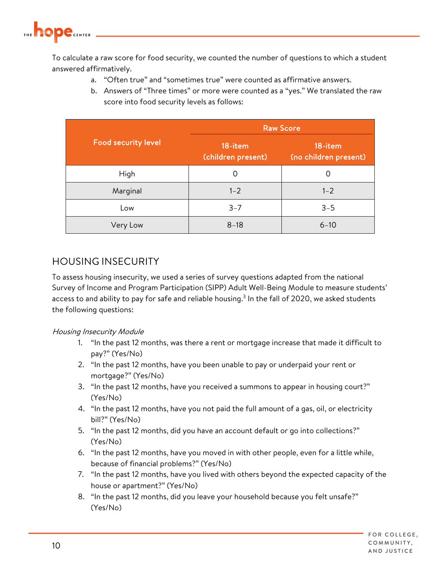

To calculate a raw score for food security, we counted the number of questions to which a student answered affirmatively.

- a. "Often true" and "sometimes true" were counted as affirmative answers.
- b. Answers of "Three times" or more were counted as a "yes." We translated the raw score into food security levels as follows:

|                            | <b>Raw Score</b>              |                                  |  |  |  |
|----------------------------|-------------------------------|----------------------------------|--|--|--|
| <b>Food security level</b> | 18-item<br>(children present) | 18-item<br>(no children present) |  |  |  |
| High                       | 0                             | 0                                |  |  |  |
| Marginal                   | $1 - 2$                       | $1 - 2$                          |  |  |  |
| Low                        | $3 - 7$                       | $3 - 5$                          |  |  |  |
| Very Low                   | $8 - 18$                      | $6 - 10$                         |  |  |  |

#### HOUSING INSECURITY

To assess housing insecurity, we used a series of survey questions adapted from the national Survey of Income and Program Participation (SIPP) Adult Well-Being Module to measure students' access to and ability to pay for safe and reliable housing.<sup>3</sup> In the fall of 2020, we asked students the following questions:

#### Housing Insecurity Module

- 1. "In the past 12 months, was there a rent or mortgage increase that made it difficult to pay?" (Yes/No)
- 2. "In the past 12 months, have you been unable to pay or underpaid your rent or mortgage?" (Yes/No)
- 3. "In the past 12 months, have you received a summons to appear in housing court?" (Yes/No)
- 4. "In the past 12 months, have you not paid the full amount of a gas, oil, or electricity bill?" (Yes/No)
- 5. "In the past 12 months, did you have an account default or go into collections?" (Yes/No)
- 6. "In the past 12 months, have you moved in with other people, even for a little while, because of financial problems?" (Yes/No)
- 7. "In the past 12 months, have you lived with others beyond the expected capacity of the house or apartment?" (Yes/No)
- 8. "In the past 12 months, did you leave your household because you felt unsafe?" (Yes/No)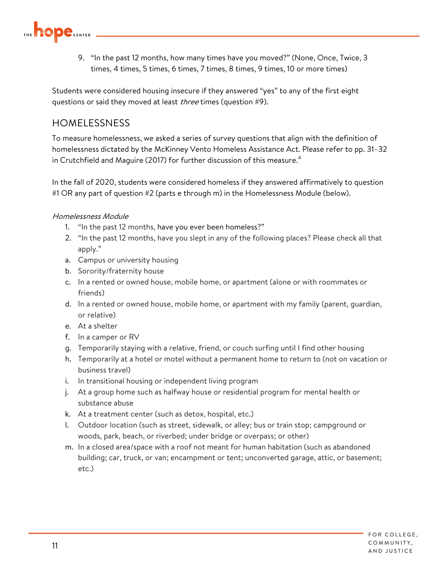

9. "In the past 12 months, how many times have you moved?" (None, Once, Twice, 3 times, 4 times, 5 times, 6 times, 7 times, 8 times, 9 times, 10 or more times)

Students were considered housing insecure if they answered "yes" to any of the first eight questions or said they moved at least *three* times (question #9).

#### HOMELESSNESS

To measure homelessness, we asked a series of survey questions that align with the definition of homelessness dictated by the McKinney Vento Homeless Assistance Act. Please refer to pp. 31–32 in Crutchfield and Maguire (2017) for further discussion of this measure.<sup>4</sup>

In the fall of 2020, students were considered homeless if they answered affirmatively to question #1 OR any part of question #2 (parts e through m) in the Homelessness Module (below).

#### Homelessness Module

- 1. "In the past 12 months, have you ever been homeless?"
- 2. "In the past 12 months, have you slept in any of the following places? Please check all that apply."
- a. Campus or university housing
- b. Sorority/fraternity house
- c. In a rented or owned house, mobile home, or apartment (alone or with roommates or friends)
- d. In a rented or owned house, mobile home, or apartment with my family (parent, guardian, or relative)
- e. At a shelter
- f. In a camper or RV
- g. Temporarily staying with a relative, friend, or couch surfing until I find other housing
- h. Temporarily at a hotel or motel without a permanent home to return to (not on vacation or business travel)
- i. In transitional housing or independent living program
- j. At a group home such as halfway house or residential program for mental health or substance abuse
- k. At a treatment center (such as detox, hospital, etc.)
- l. Outdoor location (such as street, sidewalk, or alley; bus or train stop; campground or woods, park, beach, or riverbed; under bridge or overpass; or other)
- m. In a closed area/space with a roof not meant for human habitation (such as abandoned building; car, truck, or van; encampment or tent; unconverted garage, attic, or basement; etc.)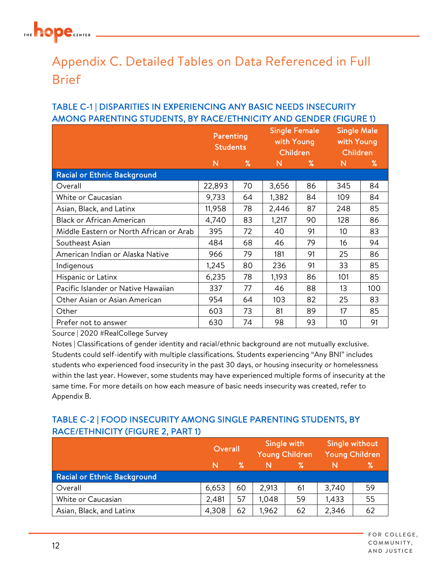# THE **hope** CENTER

### Appendix C. Detailed Tables on Data Referenced in Full **Brief**

#### **Parenting Students** Single Female with Young Children Single Male with Young Children N % N % N % Racial or Ethnic Background Overall 22,893 70 3,656 86 345 84 White or Caucasian 19,733 | 64 | 1,382 | 84 | 109 | 84 Asian, Black, and Latinx 11,958 | 78 | 2,446 | 87 | 248 | 85 Black or African American 4,740 83 1,217 90 128 86 Middle Eastern or North African or Arab  $\begin{array}{|c|c|c|c|c|}\n 395 & 72 & 40 & 91 & 10 & 83\n\end{array}$ Southeast Asian 1990 1991 16 1994 184 | 68 | 46 | 79 | 16 | 94 American Indian or Alaska Native 966 79 181 91 25 86 Indigenous 1,245 80 236 91 33 85 Hispanic or Latinx 6,235 78 1,193 86 101 85 Pacific Islander or Native Hawaiian 337 77 46 88 13 100 Other Asian or Asian American | 954 | 64 | 103 | 82 | 25 | 83 Other 603 73 81 89 17 85 Prefer not to answer 1 630 74 98 93 10 91

#### TABLE C-1 | DISPARITIES IN EXPERIENCING ANY BASIC NEEDS INSECURITY AMONG PARENTING STUDENTS, BY RACE/ETHNICITY AND GENDER (FIGURE 1)

Source | 2020 #RealCollege Survey

Notes | Classifications of gender identity and racial/ethnic background are not mutually exclusive. Students could self-identify with multiple classifications. Students experiencing "Any BNI" includes students who experienced food insecurity in the past 30 days, or housing insecurity or homelessness within the last year. However, some students may have experienced multiple forms of insecurity at the same time. For more details on how each measure of basic needs insecurity was created, refer to Appendix B.

#### TABLE C-2 | FOOD INSECURITY AMONG SINGLE PARENTING STUDENTS, BY RACE/ETHNICITY (FIGURE 2, PART 1)

|                                    | Overall |    | Single with<br><b>Young Children</b> |    | Single without<br>Young Children |    |
|------------------------------------|---------|----|--------------------------------------|----|----------------------------------|----|
|                                    | N       | ℅  |                                      | ℅  |                                  | %  |
| <b>Racial or Ethnic Background</b> |         |    |                                      |    |                                  |    |
| Overall                            | 6,653   | 60 | 2,913                                | 61 | 3,740                            | 59 |
| White or Caucasian                 | 2,481   | 57 | 1,048                                | 59 | 1,433                            | 55 |
| Asian, Black, and Latinx           | 4,308   | 62 | 1,962                                | 62 | 2,346                            | 62 |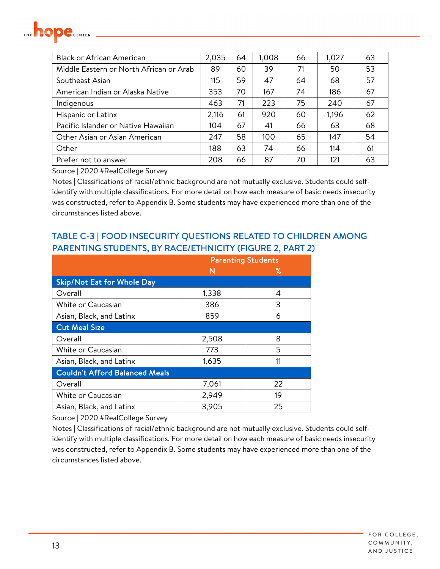

| <b>Black or African American</b>        | 2,035 | 64 | 1,008 | 66 | 1,027 | 63 |
|-----------------------------------------|-------|----|-------|----|-------|----|
| Middle Eastern or North African or Arab | 89    | 60 | 39    | 71 | 50    | 53 |
| Southeast Asian                         | 115   | 59 | 47    | 64 | 68    | 57 |
| American Indian or Alaska Native        | 353   | 70 | 167   | 74 | 186   | 67 |
| Indigenous                              | 463   | 71 | 223   | 75 | 240   | 67 |
| Hispanic or Latinx                      | 2,116 | 61 | 920   | 60 | 1,196 | 62 |
| Pacific Islander or Native Hawaiian     | 104   | 67 | 41    | 66 | 63    | 68 |
| Other Asian or Asian American           | 247   | 58 | 100   | 65 | 147   | 54 |
| Other                                   | 188   | 63 | 74    | 66 | 114   | 61 |
| Prefer not to answer                    | 208   | 66 | 87    | 70 | 121   | 63 |

Source | 2020 #RealCollege Survey

Notes | Classifications of racial/ethnic background are not mutually exclusive. Students could selfidentify with multiple classifications. For more detail on how each measure of basic needs insecurity was constructed, refer to Appendix B. Some students may have experienced more than one of the circumstances listed above.

#### TABLE C-3 | FOOD INSECURITY QUESTIONS RELATED TO CHILDREN AMONG PARENTING STUDENTS, BY RACE/ETHNICITY (FIGURE 2, PART 2)

|                                       | <b>Parenting Students</b> |    |  |
|---------------------------------------|---------------------------|----|--|
|                                       | N                         | ℅  |  |
| <b>Skip/Not Eat for Whole Day</b>     |                           |    |  |
| Overall                               | 1,338                     | 4  |  |
| White or Caucasian                    | 386                       | 3  |  |
| Asian, Black, and Latinx              | 859                       | 6  |  |
| <b>Cut Meal Size</b>                  |                           |    |  |
| Overall                               | 2,508                     | 8  |  |
| White or Caucasian                    | 773                       | 5  |  |
| Asian, Black, and Latinx              | 1,635                     | 11 |  |
| <b>Couldn't Afford Balanced Meals</b> |                           |    |  |
| Overall                               | 7,061                     | 22 |  |
| White or Caucasian                    | 2,949                     | 19 |  |
| Asian, Black, and Latinx              | 3,905                     | 25 |  |

Source | 2020 #RealCollege Survey

Notes | Classifications of racial/ethnic background are not mutually exclusive. Students could selfidentify with multiple classifications. For more detail on how each measure of basic needs insecurity was constructed, refer to Appendix B. Some students may have experienced more than one of the circumstances listed above.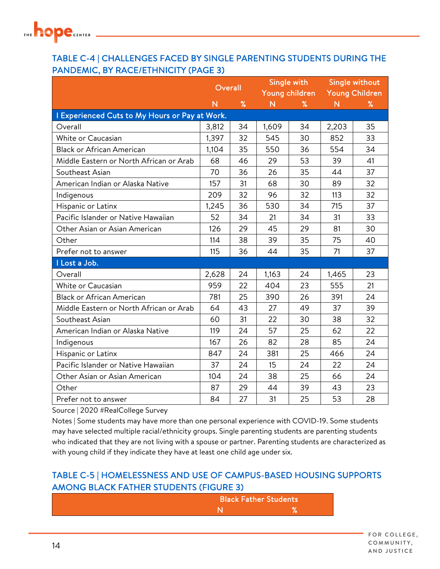

#### TABLE C-4 | CHALLENGES FACED BY SINGLE PARENTING STUDENTS DURING THE PANDEMIC, BY RACE/ETHNICITY (PAGE 3)

|                                                | Overall |      | Single with             |    | Single without        |      |  |
|------------------------------------------------|---------|------|-------------------------|----|-----------------------|------|--|
|                                                |         |      | Young children          |    | <b>Young Children</b> |      |  |
|                                                | N       | $\%$ | $\overline{\mathsf{N}}$ | %  | $\mathsf{N}$          | $\%$ |  |
| I Experienced Cuts to My Hours or Pay at Work. |         |      |                         |    |                       |      |  |
| Overall                                        | 3,812   | 34   | 1,609                   | 34 | 2,203                 | 35   |  |
| White or Caucasian                             | 1,397   | 32   | 545                     | 30 | 852                   | 33   |  |
| <b>Black or African American</b>               | 1,104   | 35   | 550                     | 36 | 554                   | 34   |  |
| Middle Eastern or North African or Arab        | 68      | 46   | 29                      | 53 | 39                    | 41   |  |
| Southeast Asian                                | 70      | 36   | 26                      | 35 | 44                    | 37   |  |
| American Indian or Alaska Native               | 157     | 31   | 68                      | 30 | 89                    | 32   |  |
| Indigenous                                     | 209     | 32   | 96                      | 32 | 113                   | 32   |  |
| Hispanic or Latinx                             | 1,245   | 36   | 530                     | 34 | 715                   | 37   |  |
| Pacific Islander or Native Hawaiian            | 52      | 34   | 21                      | 34 | 31                    | 33   |  |
| Other Asian or Asian American                  | 126     | 29   | 45                      | 29 | 81                    | 30   |  |
| Other                                          | 114     | 38   | 39                      | 35 | 75                    | 40   |  |
| Prefer not to answer                           | 115     | 36   | 44                      | 35 | 71                    | 37   |  |
| I Lost a Job.                                  |         |      |                         |    |                       |      |  |
| Overall                                        | 2,628   | 24   | 1,163                   | 24 | 1,465                 | 23   |  |
| White or Caucasian                             | 959     | 22   | 404                     | 23 | 555                   | 21   |  |
| <b>Black or African American</b>               | 781     | 25   | 390                     | 26 | 391                   | 24   |  |
| Middle Eastern or North African or Arab        | 64      | 43   | 27                      | 49 | 37                    | 39   |  |
| Southeast Asian                                | 60      | 31   | 22                      | 30 | 38                    | 32   |  |
| American Indian or Alaska Native               | 119     | 24   | 57                      | 25 | 62                    | 22   |  |
| Indigenous                                     | 167     | 26   | 82                      | 28 | 85                    | 24   |  |
| Hispanic or Latinx                             | 847     | 24   | 381                     | 25 | 466                   | 24   |  |
| Pacific Islander or Native Hawaiian            | 37      | 24   | 15                      | 24 | 22                    | 24   |  |
| Other Asian or Asian American                  | 104     | 24   | 38                      | 25 | 66                    | 24   |  |
| Other                                          | 87      | 29   | 44                      | 39 | 43                    | 23   |  |
| Prefer not to answer                           | 84      | 27   | 31                      | 25 | 53                    | 28   |  |

Source | 2020 #RealCollege Survey

Notes | Some students may have more than one personal experience with COVID-19. Some students may have selected multiple racial/ethnicity groups. Single parenting students are parenting students who indicated that they are not living with a spouse or partner. Parenting students are characterized as with young child if they indicate they have at least one child age under six.

#### TABLE C-5 | HOMELESSNESS AND USE OF CAMPUS-BASED HOUSING SUPPORTS AMONG BLACK FATHER STUDENTS (FIGURE 3)

|   | <b>Black Father Students</b> |
|---|------------------------------|
| N |                              |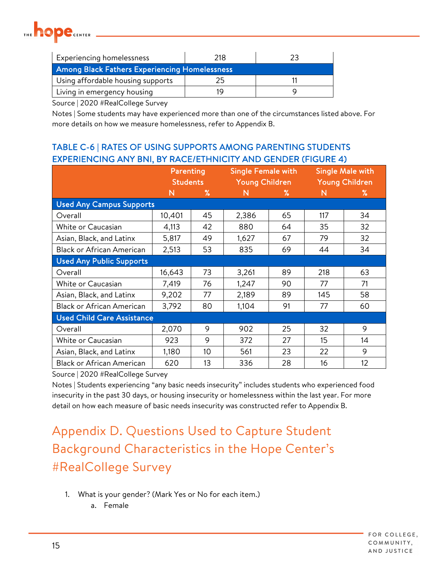

| <b>Experiencing homelessness</b>                     | 218 |  |  |  |
|------------------------------------------------------|-----|--|--|--|
| <b>Among Black Fathers Experiencing Homelessness</b> |     |  |  |  |
| Using affordable housing supports                    | 25  |  |  |  |
| Living in emergency housing                          |     |  |  |  |
|                                                      |     |  |  |  |

Source | 2020 #RealCollege Survey

Notes | Some students may have experienced more than one of the circumstances listed above. For more details on how we measure homelessness, refer to Appendix B.

#### TABLE C-6 | RATES OF USING SUPPORTS AMONG PARENTING STUDENTS EXPERIENCING ANY BNI, BY RACE/ETHNICITY AND GENDER (FIGURE 4)

|                                   | Parenting<br><b>Students</b> |      | <b>Single Female with</b><br><b>Young Children</b> |    | <b>Single Male with</b><br><b>Young Children</b> |    |  |  |
|-----------------------------------|------------------------------|------|----------------------------------------------------|----|--------------------------------------------------|----|--|--|
|                                   | N                            | $\%$ | N                                                  | %  | N                                                | ℅  |  |  |
| <b>Used Any Campus Supports</b>   |                              |      |                                                    |    |                                                  |    |  |  |
| Overall                           | 10,401                       | 45   | 2,386                                              | 65 | 117                                              | 34 |  |  |
| White or Caucasian                | 4,113                        | 42   | 880                                                | 64 | 35                                               | 32 |  |  |
| Asian, Black, and Latinx          | 5,817                        | 49   | 1,627                                              | 67 | 79                                               | 32 |  |  |
| <b>Black or African American</b>  | 2,513                        | 53   | 835                                                | 69 | 44                                               | 34 |  |  |
| <b>Used Any Public Supports</b>   |                              |      |                                                    |    |                                                  |    |  |  |
| Overall                           | 16,643                       | 73   | 3,261                                              | 89 | 218                                              | 63 |  |  |
| White or Caucasian                | 7,419                        | 76   | 1,247                                              | 90 | 77                                               | 71 |  |  |
| Asian, Black, and Latinx          | 9,202                        | 77   | 2,189                                              | 89 | 145                                              | 58 |  |  |
| <b>Black or African American</b>  | 3,792                        | 80   | 1,104                                              | 91 | 77                                               | 60 |  |  |
| <b>Used Child Care Assistance</b> |                              |      |                                                    |    |                                                  |    |  |  |
| Overall                           | 2,070                        | 9    | 902                                                | 25 | 32                                               | 9  |  |  |
| White or Caucasian                | 923                          | 9    | 372                                                | 27 | 15                                               | 14 |  |  |
| Asian, Black, and Latinx          | 1,180                        | 10   | 561                                                | 23 | 22                                               | 9  |  |  |
| <b>Black or African American</b>  | 620                          | 13   | 336                                                | 28 | 16                                               | 12 |  |  |

Source | 2020 #RealCollege Survey

Notes | Students experiencing "any basic needs insecurity" includes students who experienced food insecurity in the past 30 days, or housing insecurity or homelessness within the last year. For more detail on how each measure of basic needs insecurity was constructed refer to Appendix B.

Appendix D. Questions Used to Capture Student Background Characteristics in the Hope Center's #RealCollege Survey

- 1. What is your gender? (Mark Yes or No for each item.)
	- a. Female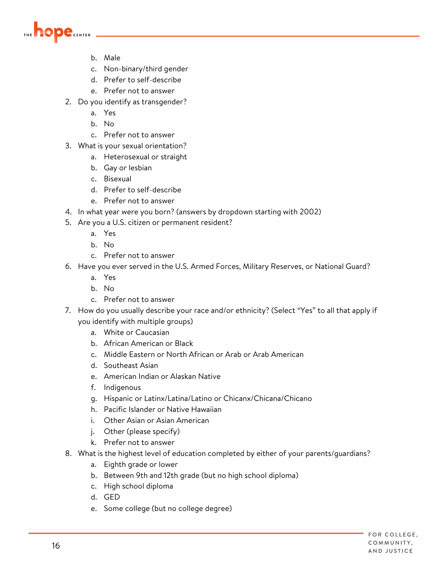

- b. Male
- c. Non-binary/third gender
- d. Prefer to self-describe
- e. Prefer not to answer
- 2. Do you identify as transgender?
	- a. Yes
	- b. No
	- c. Prefer not to answer
- 3. What is your sexual orientation?
	- a. Heterosexual or straight
	- b. Gay or lesbian
	- c. Bisexual
	- d. Prefer to self-describe
	- e. Prefer not to answer
- 4. In what year were you born? (answers by dropdown starting with 2002)
- 5. Are you a U.S. citizen or permanent resident?
	- a. Yes
	- b. No
	- c. Prefer not to answer
- 6. Have you ever served in the U.S. Armed Forces, Military Reserves, or National Guard?
	- a. Yes
	- b. No
	- c. Prefer not to answer
- 7. How do you usually describe your race and/or ethnicity? (Select "Yes" to all that apply if you identify with multiple groups)
	- a. White or Caucasian
	- b. African American or Black
	- c. Middle Eastern or North African or Arab or Arab American
	- d. Southeast Asian
	- e. American Indian or Alaskan Native
	- f. Indigenous
	- g. Hispanic or Latinx/Latina/Latino or Chicanx/Chicana/Chicano
	- h. Pacific Islander or Native Hawaiian
	- i. Other Asian or Asian American
	- j. Other (please specify)
	- k. Prefer not to answer
- 8. What is the highest level of education completed by either of your parents/guardians?
	- a. Eighth grade or lower
	- b. Between 9th and 12th grade (but no high school diploma)
	- c. High school diploma
	- d. GED
	- e. Some college (but no college degree)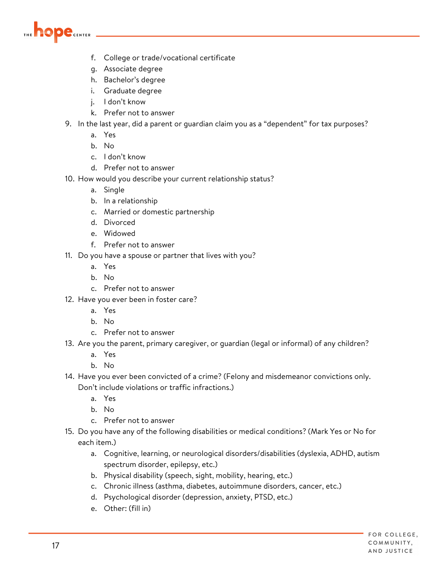

- f. College or trade/vocational certificate
- g. Associate degree
- h. Bachelor's degree
- i. Graduate degree
- j. I don't know
- k. Prefer not to answer
- 9. In the last year, did a parent or guardian claim you as a "dependent" for tax purposes?
	- a. Yes
	- b. No
	- c. I don't know
	- d. Prefer not to answer
- 10. How would you describe your current relationship status?
	- a. Single
	- b. In a relationship
	- c. Married or domestic partnership
	- d. Divorced
	- e. Widowed
	- f. Prefer not to answer
- 11. Do you have a spouse or partner that lives with you?
	- a. Yes
	- b. No
	- c. Prefer not to answer
- 12. Have you ever been in foster care?
	- a. Yes
	- b. No
	- c. Prefer not to answer
- 13. Are you the parent, primary caregiver, or guardian (legal or informal) of any children?
	- a. Yes
	- b. No
- 14. Have you ever been convicted of a crime? (Felony and misdemeanor convictions only. Don't include violations or traffic infractions.)
	- a. Yes
	- b. No
	- c. Prefer not to answer
- 15. Do you have any of the following disabilities or medical conditions? (Mark Yes or No for each item.)
	- a. Cognitive, learning, or neurological disorders/disabilities (dyslexia, ADHD, autism spectrum disorder, epilepsy, etc.)
	- b. Physical disability (speech, sight, mobility, hearing, etc.)
	- c. Chronic illness (asthma, diabetes, autoimmune disorders, cancer, etc.)
	- d. Psychological disorder (depression, anxiety, PTSD, etc.)
	- e. Other: (fill in)